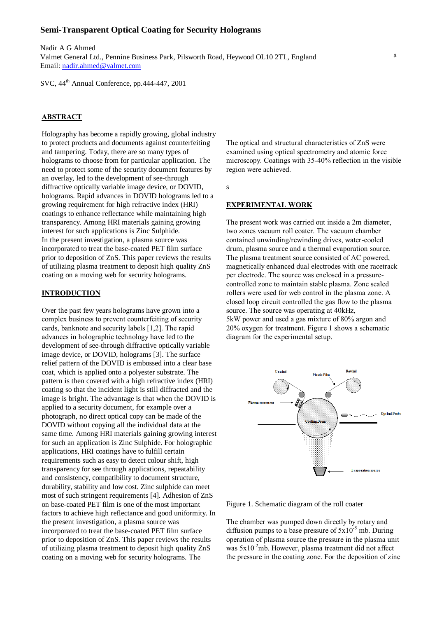## **Semi-Transparent Optical Coating for Security Holograms**

Valmet General Ltd., Pennine Business Park, Pilsworth Road, Heywood OL10 2TL, England a fixed speed until a total thickness of  $50-60$ Nadir A G Ahmed Email: nadir.ahmed@valmet.com

SVC, 44th Annual Conference, pp.444-447, 2001

# **ABSTRACT**

Holography has become a rapidly growing, global industry to protect products and documents against counterfeiting and tampering. Today, there are so many types of holograms to choose from for particular application. The need to protect some of the security document features by an overlay, led to the development of see-through diffractive optically variable image device, or DOVID, holograms. Rapid advances in DOVID holograms led to a growing requirement for high refractive index (HRI) coatings to enhance reflectance while maintaining high transparency. Among HRI materials gaining growing interest for such applications is Zinc Sulphide. In the present investigation, a plasma source was incorporated to treat the base-coated PET film surface prior to deposition of ZnS. This paper reviews the results of utilizing plasma treatment to deposit high quality ZnS coating on a moving web for security holograms.

## **INTRODUCTION**

Over the past few years holograms have grown into a complex business to prevent counterfeiting of security cards, banknote and security labels [1,2]. The rapid advances in holographic technology have led to the development of see-through diffractive optically variable image device, or DOVID, holograms [3]. The surface relief pattern of the DOVID is embossed into a clear base coat, which is applied onto a polyester substrate. The pattern is then covered with a high refractive index (HRI) coating so that the incident light is still diffracted and the image is bright. The advantage is that when the DOVID is applied to a security document, for example over a photograph, no direct optical copy can be made of the DOVID without copying all the individual data at the same time. Among HRI materials gaining growing interest for such an application is Zinc Sulphide. For holographic applications, HRI coatings have to fulfill certain requirements such as easy to detect colour shift, high transparency for see through applications, repeatability and consistency, compatibility to document structure, durability, stability and low cost. Zinc sulphide can meet most of such stringent requirements [4]. Adhesion of ZnS on base-coated PET film is one of the most important factors to achieve high reflectance and good uniformity. In the present investigation, a plasma source was incorporated to treat the base-coated PET film surface prior to deposition of ZnS. This paper reviews the results of utilizing plasma treatment to deposit high quality ZnS coating on a moving web for security holograms. The

The optical and structural characteristics of ZnS were examined using optical spectrometry and atomic force microscopy. Coatings with 35-40% reflection in the visible region were achieved.

s

### **EXPERIMENTAL WORK**

The present work was carried out inside a 2m diameter, two zones vacuum roll coater. The vacuum chamber contained unwinding/rewinding drives, water-cooled drum, plasma source and a thermal evaporation source. The plasma treatment source consisted of AC powered, magnetically enhanced dual electrodes with one racetrack per electrode. The source was enclosed in a pressurecontrolled zone to maintain stable plasma. Zone sealed rollers were used for web control in the plasma zone. A closed loop circuit controlled the gas flow to the plasma source. The source was operating at 40kHz, 5kW power and used a gas mixture of 80% argon and 20% oxygen for treatment. Figure 1 shows a schematic diagram for the experimental setup.



Figure 1. Schematic diagram of the roll coater

The chamber was pumped down directly by rotary and diffusion pumps to a base pressure of  $5x10^{-5}$  mb. During operation of plasma source the pressure in the plasma unit was  $5x10^2$ mb. However, plasma treatment did not affect the pressure in the coating zone. For the deposition of zinc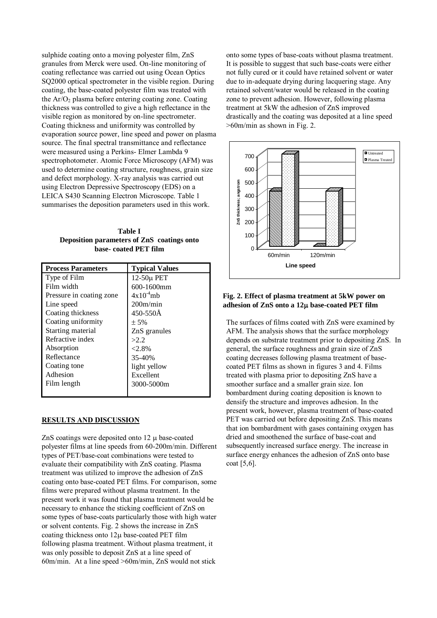sulphide coating onto a moving polyester film, ZnS granules from Merck were used. On-line monitoring of coating reflectance was carried out using Ocean Optics SQ2000 optical spectrometer in the visible region. During coating, the base-coated polyester film was treated with the  $Ar/O<sub>2</sub>$  plasma before entering coating zone. Coating thickness was controlled to give a high reflectance in the visible region as monitored by on-line spectrometer. Coating thickness and uniformity was controlled by evaporation source power, line speed and power on plasma source. The final spectral transmittance and reflectance were measured using a Perkins- Elmer Lambda 9 spectrophotometer. Atomic Force Microscopy (AFM) was used to determine coating structure, roughness, grain size and defect morphology. X-ray analysis was carried out using Electron Depressive Spectroscopy (EDS) on a LEICA S430 Scanning Electron Microscope. Table 1 summarises the deposition parameters used in this work.

**Table I Deposition parameters of ZnS coatings onto base- coated PET film**

| <b>Process Parameters</b> | <b>Typical Values</b> |
|---------------------------|-----------------------|
| Type of Film              | 12-50μ PET            |
| Film width                | $600 - 1600$ mm       |
| Pressure in coating zone  | $4x10^{-4}$ mb        |
| Line speed                | 200m/min              |
| Coating thickness         | 450-550Å              |
| Coating uniformity        | ± 5%                  |
| Starting material         | ZnS granules          |
| Refractive index          | >2.2                  |
| Absorption                | $< 2.8\%$             |
| Reflectance               | 35-40%                |
| Coating tone              | light yellow          |
| Adhesion                  | Excellent             |
| Film length               | 3000-5000m            |
|                           |                       |

#### **RESULTS AND DISCUSSION**

ZnS coatings were deposited onto  $12 \mu$  base-coated polyester films at line speeds from 60-200m/min. Different types of PET/base-coat combinations were tested to evaluate their compatibility with ZnS coating. Plasma treatment was utilized to improve the adhesion of ZnS coating onto base-coated PET films. For comparison, some films were prepared without plasma treatment. In the present work it was found that plasma treatment would be necessary to enhance the sticking coefficient of ZnS on some types of base-coats particularly those with high water or solvent contents. Fig. 2 shows the increase in ZnS coating thickness onto  $12\mu$  base-coated PET film following plasma treatment. Without plasma treatment, it was only possible to deposit ZnS at a line speed of 60m/min. At a line speed >60m/min, ZnS would not stick

onto some types of base-coats without plasma treatment. It is possible to suggest that such base-coats were either not fully cured or it could have retained solvent or water due to in-adequate drying during lacquering stage. Any retained solvent/water would be released in the coating zone to prevent adhesion. However, following plasma treatment at 5kW the adhesion of ZnS improved drastically and the coating was deposited at a line speed >60m/min as shown in Fig. 2.



# **Fig. 2. Effect of plasma treatment at 5kW power on**  adhesion of ZnS onto a 12 $\mu$  base-coated PET film

The surfaces of films coated with ZnS were examined by AFM. The analysis shows that the surface morphology depends on substrate treatment prior to depositing ZnS. In general, the surface roughness and grain size of ZnS coating decreases following plasma treatment of basecoated PET films as shown in figures 3 and 4. Films treated with plasma prior to depositing ZnS have a smoother surface and a smaller grain size. Ion bombardment during coating deposition is known to densify the structure and improves adhesion. In the present work, however, plasma treatment of base-coated PET was carried out before depositing ZnS. This means that ion bombardment with gases containing oxygen has dried and smoothened the surface of base-coat and subsequently increased surface energy. The increase in surface energy enhances the adhesion of ZnS onto base coat [5,6].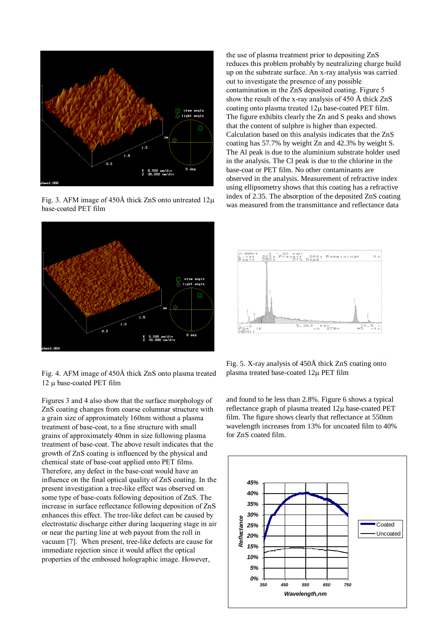

Fig. 3. AFM image of 450Å thick ZnS onto untreated  $12\mu$ base-coated PET film



Fig. 4. AFM image of 450Å thick ZnS onto plasma treated 12 u base-coated PET film

Figures 3 and 4 also show that the surface morphology of ZnS coating changes from coarse columnar structure with a grain size of approximately 160nm without a plasma treatment of base-coat, to a fine structure with small grains of approximately 40nm in size following plasma treatment of base-coat. The above result indicates that the growth of ZnS coating is influenced by the physical and chemical state of base-coat applied onto PET films. Therefore, any defect in the base-coat would have an influence on the final optical quality of ZnS coating. In the present investigation a tree-like effect was observed on some type of base-coats following deposition of ZnS. The increase in surface reflectance following deposition of ZnS enhances this effect. The tree-like defect can be caused by electrostatic discharge either during lacquering stage in air or near the parting line at web payout from the roll in vacuum [7]. When present, tree-like defects are cause for immediate rejection since it would affect the optical properties of the embossed holographic image. However,

the use of plasma treatment prior to depositing ZnS reduces this problem probably by neutralizing charge build up on the substrate surface. An x-ray analysis was carried out to investigate the presence of any possible contamination in the ZnS deposited coating. Figure 5 show the result of the x-ray analysis of 450 Å thick ZnS coating onto plasma treated  $12\mu$  base-coated PET film. The figure exhibits clearly the Zn and S peaks and shows that the content of sulphre is higher than expected. Calculation based on this analysis indicates that the ZnS coating has 57.7% by weight Zn and 42.3% by weight S. The Al peak is due to the aluminium substrate holder used in the analysis. The Cl peak is due to the chlorine in the base-coat or PET film. No other contaminants are observed in the analysis. Measurement of refractive index using ellipsometry shows that this coating has a refractive index of 2.35. The absorption of the deposited ZnS coating was measured from the transmittance and reflectance data



Fig. 5. X-ray analysis of 450Å thick ZnS coating onto plasma treated base-coated 12µ PET film

and found to be less than 2.8%. Figure 6 shows a typical reflectance graph of plasma treated  $12\mu$  base-coated PET film. The figure shows clearly that reflectance at 550nm wavelength increases from 13% for uncoated film to 40% for ZnS coated film.